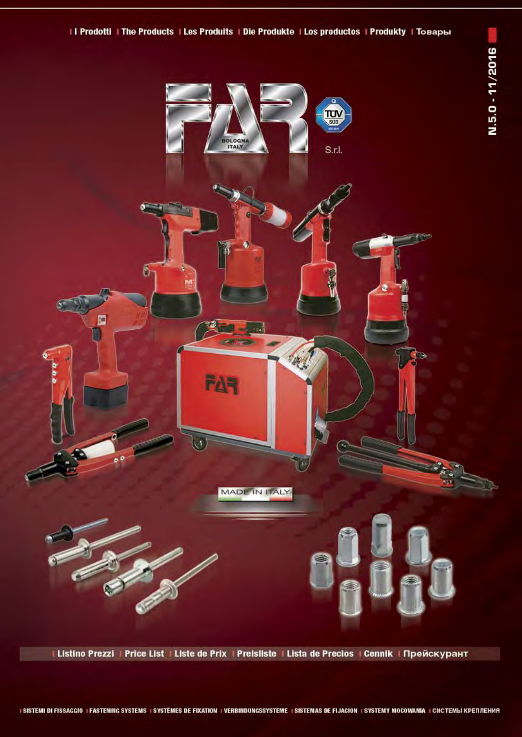



# I Listino Prezzi | Price List | Liste de Prix | Preisliste | Lista de Precios | Cennik | Прейскурант

## I SISTEMI DI FISSAGGIO I FASTENING SYSTEMS I SYSTEMES DE FIXATION I VERBINDUNGSSYSTEME I SISTEMAS DE FIJACION I SYSTEMY MOCOWANIA I CHCTEMЫ КРЕПЛЕНИЯ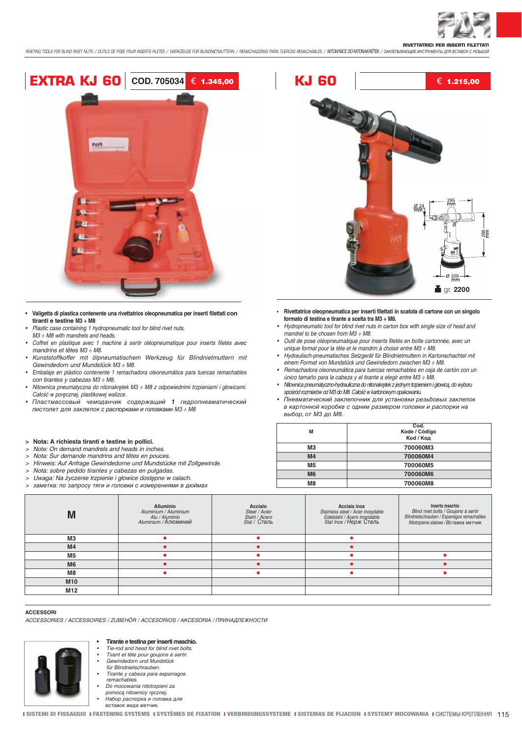

**RIVETTATRICI PER INSERTI FILETTATI** RIVETING TOOLS FOR BLIND RIVET NUTS / OUTILS DE POSE POUR INSERTS FILETÉS / WERKZEUGE FÜR BLINDNETMUTTERN / REMACHADORAS PARA TUERCAS REMACHABLES / NITOWNKE DO NITOWAKRETEK / 3AKREDIBANOLIKE MHCTPYMEHTIJ JURI BCTABOK C PES



- Valigetta di plastica contenente una rivettatrice oleopneumatica per inserti filettati con tiranti e testine M3 ÷ M8
- Plastic case containing 1 hydropneumatic tool for blind rivet nuts,
- $M3 \div M8$  with mandrels and heads.
- Coffret en plastique avec 1 machine à sertir oléopneumatique pour inserts filetés avec mandrins et têtes M3 ÷ M8.
- Kunststoffkoffer mit ölpneumatischem Werkzeug für Blindnietmuttern mit Gewindedorn und Mundstück M3 ÷ M8.
- Embalaje en plástico contenente 1 remachadora oleoneumática para tuercas remachables con tirantes y cabezas M3 : M8.
- Nitownica pneumatyczna do nitonakrętek M3 ÷ M8 z odpowiednimi trzpieniami i głowicami. Całość w poręcznej, plastikowej walizce.
- Пластмассовый чемоданчик содержащий 1 гидропневматический пистолет для заклепок с распорками и головками М3 ÷ М8

#### $\geq$ Nota: A richiesta tiranti e testine in pollici.

- Note: On demand mandrels and heads in inches.  $\ddot{\phantom{1}}$
- $\overline{ }$ Nota: Sur demande mandrins and têtes en pouces.
- Hinweis: Auf Anfrage Gewindedorne und Mundstücke mit Zollgewinde.  $\rightarrow$
- $\rightarrow$ Nota: sobre pedido tirantes y cabezas en pulgadas.
- Uwaga: Na życzenie trzpienie i głowice dostępne w calach.  $\overline{\phantom{a}}$
- $\overline{ }$ заметка: по запросу тяги и головки с измерениями в дюймах



- Rivettatrice oleopneumatica per inserti filettati in scatola di cartone con un singolo formato di testina e tirante a scelta tra M3 ÷ M8.
- Hydropneumatic tool for blind rivet nuts in carton box with single size of head and mandrel to be chosen from  $M3 \div M8$ .
- Outil de pose oléopneumatique pour inserts filetés en boîte cartonnée, avec un unique format pour la tête et le mandrin à choisir entre M3 ÷ M8.
- Hydraulisch-pneumatisches Setzgerät für Blindnietmuttern in Kartonschachtel mit einem Format von Mundstück und Gewindedorn zwischen M3 ÷ M8.
- · Remachadora oleoneumática para tuercas remachables en caja de cartón con un único tamaño para la cabeza y el tirante a elegir entre M3 ÷ M8.
- · Nitownica pneumatyczno-hydrauliczna do nitonakrętek z jednym trzpieniem i głowicą, do wyboru spośród rozmiarów od M3 do M8. Całość w kartonowym opakowaniu.
- Пневматический заклепочник для установки резьбовых заклепок в картонной коробке с одним размером головки и распорки на выбор, от МЗ до М8.

| M              | Cod.<br>Kode / Código<br>Kod / Код |
|----------------|------------------------------------|
| MЗ             | 700060M3                           |
| M <sub>4</sub> | 700060M4                           |
| M <sub>5</sub> | 700060M5                           |
| M <sub>6</sub> | 700060M6                           |
| M8             | 700060M8                           |
|                |                                    |

| M               | <b>Alluminio</b><br>Aluminium / Aluminium<br>Alu / Aluminio<br>Aluminium / Алюминий | Acciaio<br>Steel / Acier<br>Stahl / Acero<br>Stal / Сталь | Acciaio inox<br>Stainless steel / Acier inoxydable<br>Edelstahl / Acero inoxidable<br>Stal Inox / Нерж Сталь | Inserto maschio<br>Blind rivet bolts / Goujons à sertir<br>Blindnietschrauben / Esparragos remachables<br>Nitotrzpienie stalowe / Вставка метчик |
|-----------------|-------------------------------------------------------------------------------------|-----------------------------------------------------------|--------------------------------------------------------------------------------------------------------------|--------------------------------------------------------------------------------------------------------------------------------------------------|
| M <sub>3</sub>  |                                                                                     |                                                           |                                                                                                              |                                                                                                                                                  |
| M <sub>4</sub>  |                                                                                     |                                                           |                                                                                                              |                                                                                                                                                  |
| M <sub>5</sub>  |                                                                                     |                                                           |                                                                                                              |                                                                                                                                                  |
| M <sub>6</sub>  |                                                                                     |                                                           |                                                                                                              |                                                                                                                                                  |
| M <sub>8</sub>  |                                                                                     |                                                           |                                                                                                              |                                                                                                                                                  |
| M <sub>10</sub> |                                                                                     |                                                           |                                                                                                              |                                                                                                                                                  |
| M <sub>12</sub> |                                                                                     |                                                           |                                                                                                              |                                                                                                                                                  |
|                 |                                                                                     |                                                           |                                                                                                              |                                                                                                                                                  |

#### **ACCESSORI**

ACCESSORIES / ACCESSOIRES / ZUREHÖR / ACCESORIOS / AKCESORIA / ПРИНАЛЛЕЖНОСТИ



Tirante e testina per inserti maschio.

- Tie-rod and head for blind rivet bolts.
- Tirant et tête pour goujons à sertir.<br>Gewindedorn und Mundstück
- für Blindnietschrauben
- Tirante y cabeza para esparragos remachables.
- Do mocowania nitotrzpieni za
- pomocą nitownicy ręcznej.
- ,<br>Набор распорка и головка для<br>вставок вида метчик.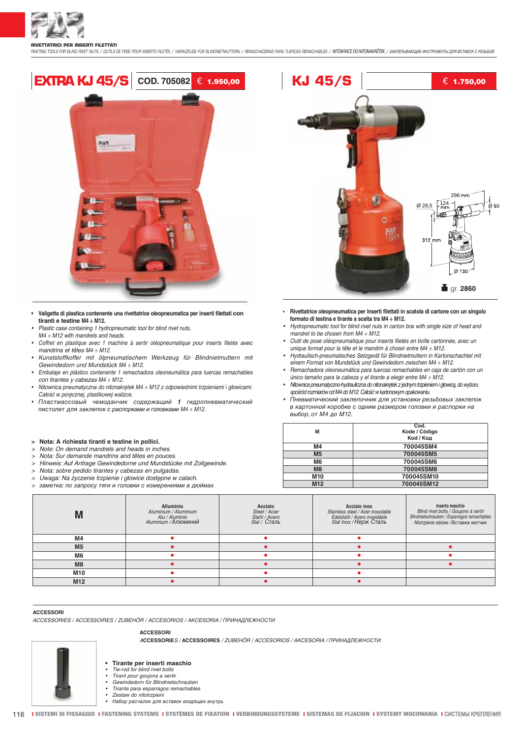**RIVETTATRICI PER INSERTI FILETTATI** RIVETING TOOLS FOR BLIND RIVET NUTS / CUTILS DE POSE POUR INSERTS FILETÉS / WERKZEUGE FÜR BLINDNETMUTTERN / REMACHADORAS PARA TUEROAS REMACHABLES / NITOWNICE DO NITONAKRETEK / SAKIETIЫBAOЩИЕ ИНСТРУМЕНТЫ ДЛЯ ВСТАВОК С РЕЗЬБ



- · Valigetta di plastica contenente una rivettatrice oleopneumatica per inserti filettati con tiranti e testine M4 ÷ M12.
- Plastic case containing 1 hydropneumatic tool for blind rivet nuts,
- $M4 \div M12$  with mandrels and heads.
- Coffret en plastique avec 1 machine à sertir oléopneumatique pour inserts filetés avec mandrins et têtes M4 ÷ M12.
- Kunststoffkoffer mit ölpneumatischem Werkzeug für Blindnietmuttern mit Gewindedorn und Mundstück M4 ÷ M12.
- Embalaje en plástico contenente 1 remachadora oleoneumática para tuercas remachables con tirantes y cabezas M4 : M12.
- Nitownica pneumatyczna do nitonakrętek M4 ÷ M12 z odpowiednimi trzpieniami i głowicami. Całość w poręcznej, plastikowej walizce.
- Пластмассовый чемоданчик содержащий 1 гидропневматический пистолет для заклепок с распорками и головками M4 ÷ M12.

#### > Nota: A richiesta tiranti e testine in pollici.

- Note: On demand mandrels and heads in inches.  $\rightarrow$
- $\overline{\phantom{a}}$ Nota: Sur demande mandrins and têtes en pouces.
- Hinweis: Auf Anfrage Gewindedorne und Mundstücke mit Zollgewinde.
- Nota: sobre pedido tirantes y cabezas en pulgadas.
- Uwaga: Na życzenie trzpienie i głowice dostępne w calach.  $\rightarrow$
- $\rightarrow$ заметка: по запросу тяги и головки с измерениями в дюймах



- Rivettatrice oleopneumatica per inserti filettati in scatola di cartone con un singolo formato di testina e tirante a scelta tra M4 ÷ M12.
- Hydropneumatic tool for blind rivet nuts in carton box with single size of head and mandrel to be chosen from  $M4 \div M12$ .
- · Outil de pose oléopneumatique pour inserts filetés en boîte cartonnée, avec un unique format pour la tête et le mandrin à choisir entre M4 ÷ M12.
- · Hydraulisch-pneumatisches Setzgerät für Blindnietmuttern in Kartonschachtel mit einem Format von Mundstück und Gewindedorn zwischen M4 ÷ M12.
- · Remachadora oleoneumática para tuercas remachables en caja de cartón con un único tamaño para la cabeza y el tirante a elegir entre M4 ÷ M12.
- · Nitownica pneumatyczno-hydrauliczna do nitonakrętek z jednym trzpieniem i głowicą, do wyboru spośród rozmiarów od M4 do M12. Całość w kartonowym opakowaniu.
- Пневматический заклепочник для установки резьбовых заклепок в картонной коробке с одним размером головки и распорки на выбор, от М4 до М12.

|                 | Cod.          |
|-----------------|---------------|
| M               | Kode / Código |
|                 | Kod / Код     |
| M4              | 700045SM4     |
| M <sub>5</sub>  | 700045SM5     |
| M6              | 700045SM6     |
| M <sub>8</sub>  | 700045SM8     |
| M <sub>10</sub> | 700045SM10    |
| M <sub>12</sub> | 700045SM12    |

|                 | <b>Alluminio</b><br>Aluminium / Aluminium<br>Alu / Aluminio<br>Aluminium / Алюминий | Acciaio<br>Steel / Acier<br>Stahl / Acero<br>Stal / Сталь | <b>Acciaio inox</b><br>Stainless steel / Acier inoxydable<br>Edelstahl / Acero inoxidable<br>Stal Inox / Нерж Сталь | Inserto maschio<br>Blind rivet bolts / Goujons à sertir<br>Blindnietschrauben / Esparragos remachables<br>Nitotrzpienie stalowe / Вставка метчик |
|-----------------|-------------------------------------------------------------------------------------|-----------------------------------------------------------|---------------------------------------------------------------------------------------------------------------------|--------------------------------------------------------------------------------------------------------------------------------------------------|
| M <sub>4</sub>  |                                                                                     |                                                           |                                                                                                                     |                                                                                                                                                  |
| M <sub>5</sub>  |                                                                                     |                                                           |                                                                                                                     |                                                                                                                                                  |
| M <sub>6</sub>  |                                                                                     |                                                           |                                                                                                                     |                                                                                                                                                  |
| M8              |                                                                                     |                                                           |                                                                                                                     |                                                                                                                                                  |
| <b>M10</b>      |                                                                                     |                                                           |                                                                                                                     |                                                                                                                                                  |
| M <sub>12</sub> |                                                                                     |                                                           |                                                                                                                     |                                                                                                                                                  |

#### ACCESSORI

ACCESSORIES / ACCESSOIRES / ZUREHÖR / ACCESORIOS / AKCESORIA / ПРИНАЛЛЕЖНОСТИ

#### **ACCESSORI**

ACCESSORIES / ACCESSOIRES / ZUBEHÖR / ACCESORIOS / AKCESORIA / ПРИНАЛЛЕЖНОСТИ



- Tirante per inserti maschio Tie-rod for blind rivet bolts
- Tirant pour goujons a sertir
- Gewindedorn für Blindnietschrauben
- Tirante para esparragos remachables
- Zestaw do nitotrzpieni
- Набор расчалок лля вставок вхоляших внутрь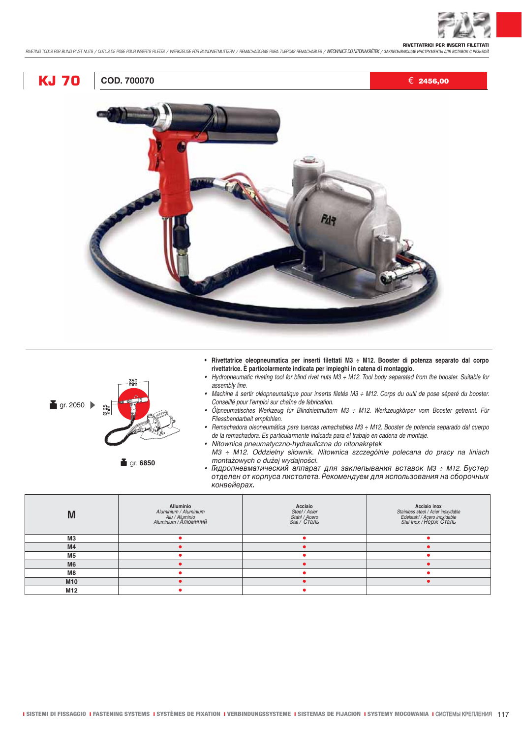

# **KJ 70** € 2456,00



- **Rivettatrice oleopneumatica per inserti filettati M3 ÷ M12. Booster di potenza separato dal corpo rivettatrice. È particolarmente indicata per impieghi in catena di montaggio.**
- *Hydropneumatic riveting tool for blind rivet nuts M3 ÷ M12. Tool body separated from the booster. Suitable for assembly line.*
- *Machine à sertir oléopneumatique pour inserts filetés M3 ÷ M12. Corps du outil de pose séparé du booster. Conseillé pour l'emploi sur chaîne de fabrication.*
- *Ölpneumatisches Werkzeug für Blindnietmuttern M3 ÷ M12. Werkzeugkörper vom Booster getrennt. Für Fliessbandarbeit empfohlen.*
- *Remachadora oleoneumática para tuercas remachables M3 ÷ M12. Booster de potencia separado dal cuerpo de la remachadora. Es particularmente indicada para el trabajo en cadena de montaje.*
- *•* Nitownica pneumatyczno-hydrauliczna do nitonakrętek M3 ÷ M12. Oddzielny siłownik. Nitownica szczególnie polecana do pracy na liniach
- Гидропневматический аппарат для заклепывания вставок *M3 ÷ M12.* Бустер отделен от корпуса пистолета. Рекомендуем для использования на сборочных конвейерах*.*

| M              | <b>Alluminio</b><br>Aluminium / Aluminium<br>Alu / Aluminio<br>Aluminium / Алюминий | Acciaio<br>Steel / Acier<br>Stahl / Acero<br>Stal / Сталь | <b>Acciaio inox</b><br>Stainless steel / Acier inoxydable<br>Edelstahl / Acero inoxidable<br>Stal Inox / Нерж Сталь |
|----------------|-------------------------------------------------------------------------------------|-----------------------------------------------------------|---------------------------------------------------------------------------------------------------------------------|
| M <sub>3</sub> |                                                                                     |                                                           |                                                                                                                     |
| M <sub>4</sub> |                                                                                     |                                                           |                                                                                                                     |
| <b>M5</b>      |                                                                                     |                                                           |                                                                                                                     |
| M <sub>6</sub> |                                                                                     |                                                           |                                                                                                                     |
| M8             |                                                                                     |                                                           |                                                                                                                     |
| <b>M10</b>     |                                                                                     |                                                           |                                                                                                                     |
| M12            |                                                                                     |                                                           |                                                                                                                     |



 $g$ r. 2050